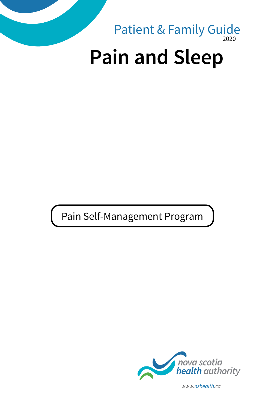

Pain Self-Management Program



*www.nshealth.ca*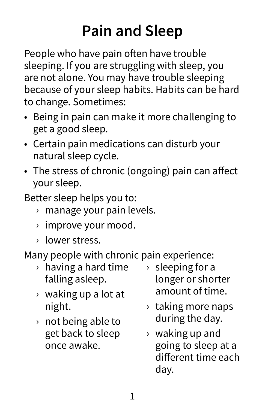# **Pain and Sleep**

People who have pain often have trouble sleeping. If you are struggling with sleep, you are not alone. You may have trouble sleeping because of your sleep habits. Habits can be hard to change. Sometimes:

- Being in pain can make it more challenging to get a good sleep.
- Certain pain medications can disturb your natural sleep cycle.
- The stress of chronic (ongoing) pain can affect your sleep.
- Better sleep helps you to:
	- › manage your pain levels.
	- › improve your mood.
	- › lower stress.

Many people with chronic pain experience:

- › having a hard time falling asleep.
- › waking up a lot at night.
- › not being able to get back to sleep once awake.
- › sleeping for a longer or shorter amount of time.
- › taking more naps during the day.
- › waking up and going to sleep at a different time each day.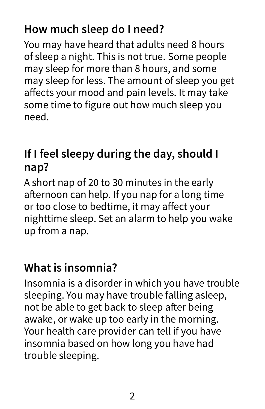### **How much sleep do I need?**

You may have heard that adults need 8 hours of sleep a night. This is not true. Some people may sleep for more than 8 hours, and some may sleep for less. The amount of sleep you get affects your mood and pain levels. It may take some time to figure out how much sleep you need.

### **If I feel sleepy during the day, should I nap?**

A short nap of 20 to 30 minutes in the early afternoon can help. If you nap for a long time or too close to bedtime, it may affect your nighttime sleep. Set an alarm to help you wake up from a nap.

#### **What is insomnia?**

Insomnia is a disorder in which you have trouble sleeping. You may have trouble falling asleep, not be able to get back to sleep after being awake, or wake up too early in the morning. Your health care provider can tell if you have insomnia based on how long you have had trouble sleeping.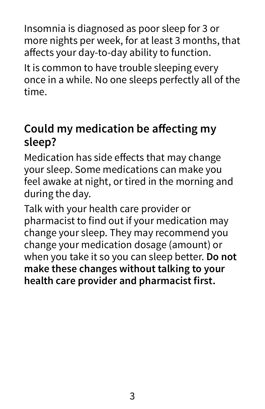Insomnia is diagnosed as poor sleep for 3 or more nights per week, for at least 3 months, that affects your day-to-day ability to function.

It is common to have trouble sleeping every once in a while. No one sleeps perfectly all of the time.

#### **Could my medication be affecting my sleep?**

Medication has side effects that may change your sleep. Some medications can make you feel awake at night, or tired in the morning and during the day.

Talk with your health care provider or pharmacist to find out if your medication may change your sleep. They may recommend you change your medication dosage (amount) or when you take it so you can sleep better. **Do not make these changes without talking to your health care provider and pharmacist first.**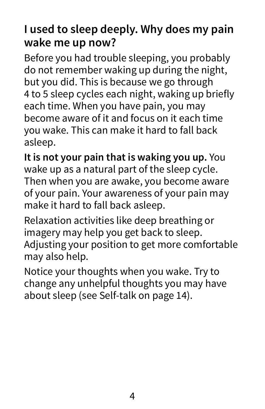### **I used to sleep deeply. Why does my pain wake me up now?**

Before you had trouble sleeping, you probably do not remember waking up during the night, but you did. This is because we go through 4 to 5 sleep cycles each night, waking up briefly each time. When you have pain, you may become aware of it and focus on it each time you wake. This can make it hard to fall back asleep.

**It is not your pain that is waking you up.** You wake up as a natural part of the sleep cycle. Then when you are awake, you become aware of your pain. Your awareness of your pain may make it hard to fall back asleep.

Relaxation activities like deep breathing or imagery may help you get back to sleep. Adjusting your position to get more comfortable may also help.

Notice your thoughts when you wake. Try to change any unhelpful thoughts you may have about sleep (see Self-talk on page 14).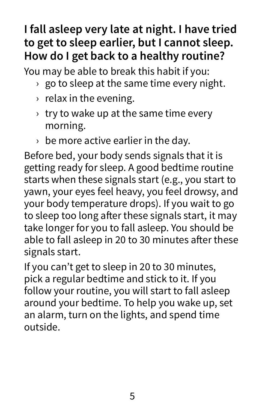### **I fall asleep very late at night. I have tried to get to sleep earlier, but I cannot sleep. How do I get back to a healthy routine?**

You may be able to break this habit if you:

- $\rightarrow$  go to sleep at the same time every night.
- $\rightarrow$  relax in the evening.
- $\rightarrow$  try to wake up at the same time every morning.
- $\rightarrow$  be more active earlier in the day.

Before bed, your body sends signals that it is getting ready for sleep. A good bedtime routine starts when these signals start (e.g., you start to yawn, your eyes feel heavy, you feel drowsy, and your body temperature drops). If you wait to go to sleep too long after these signals start, it may take longer for you to fall asleep. You should be able to fall asleep in 20 to 30 minutes after these signals start.

If you can't get to sleep in 20 to 30 minutes, pick a regular bedtime and stick to it. If you follow your routine, you will start to fall asleep around your bedtime. To help you wake up, set an alarm, turn on the lights, and spend time outside.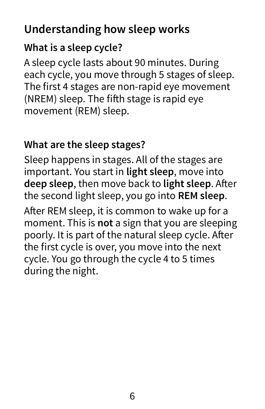### **Understanding how sleep works**

#### **What is a sleep cycle?**

A sleep cycle lasts about 90 minutes. During each cycle, you move through 5 stages of sleep. The first 4 stages are non-rapid eye movement (NREM) sleep. The fifth stage is rapid eye movement (REM) sleep.

#### **What are the sleep stages?**

Sleep happens in stages. All of the stages are important. You start in **light sleep**, move into **deep sleep**, then move back to **light sleep**. After the second light sleep, you go into **REM sleep**. After REM sleep, it is common to wake up for a moment. This is **not** a sign that you are sleeping poorly. It is part of the natural sleep cycle. After the first cycle is over, you move into the next cycle. You go through the cycle 4 to 5 times during the night.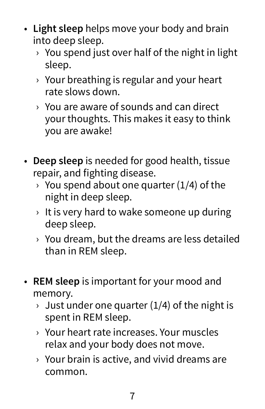- **Light sleep** helps move your body and brain into deep sleep.
	- $\rightarrow$  You spend just over half of the night in light sleep.
	- › Your breathing is regular and your heart rate slows down.
	- › You are aware of sounds and can direct your thoughts. This makes it easy to think you are awake!
- **Deep sleep** is needed for good health, tissue repair, and fighting disease.
	- $\rightarrow$  You spend about one quarter (1/4) of the night in deep sleep.
	- $\rightarrow$  It is very hard to wake someone up during deep sleep.
	- › You dream, but the dreams are less detailed than in REM sleep.
- **REM sleep** is important for your mood and memory.
	- $\rightarrow$  Just under one quarter (1/4) of the night is spent in REM sleep.
	- › Your heart rate increases. Your muscles relax and your body does not move.
	- › Your brain is active, and vivid dreams are common.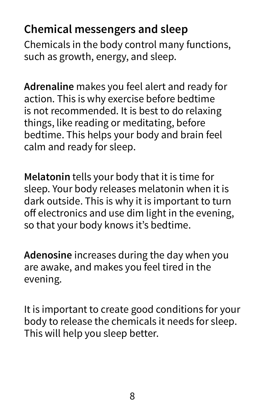### **Chemical messengers and sleep**

Chemicals in the body control many functions, such as growth, energy, and sleep.

**Adrenaline** makes you feel alert and ready for action. This is why exercise before bedtime is not recommended. It is best to do relaxing things, like reading or meditating, before bedtime. This helps your body and brain feel calm and ready for sleep.

**Melatonin** tells your body that it is time for sleep. Your body releases melatonin when it is dark outside. This is why it is important to turn off electronics and use dim light in the evening, so that your body knows it's bedtime.

**Adenosine** increases during the day when you are awake, and makes you feel tired in the evening.

It is important to create good conditions for your body to release the chemicals it needs for sleep. This will help you sleep better.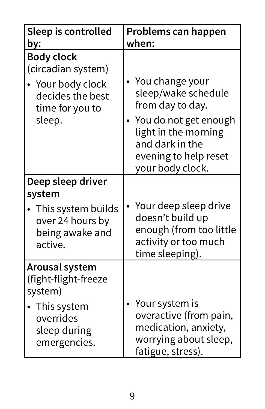| Sleep is controlled<br>by:                                                                                      | Problems can happen<br>when:                                                                                                                                                |
|-----------------------------------------------------------------------------------------------------------------|-----------------------------------------------------------------------------------------------------------------------------------------------------------------------------|
| <b>Body clock</b><br>(circadian system)<br>Your body clock<br>decides the best<br>time for you to<br>sleep.     | You change your<br>sleep/wake schedule<br>from day to day.<br>You do not get enough<br>light in the morning<br>and dark in the<br>evening to help reset<br>your body clock. |
| Deep sleep driver<br>system<br>• This system builds<br>over 24 hours by<br>being awake and<br>active.           | Your deep sleep drive<br>doesn't build up<br>enough (from too little<br>activity or too much<br>time sleeping).                                                             |
| Arousal system<br>(fight-flight-freeze<br>system)<br>• This system<br>overrides<br>sleep during<br>emergencies. | Your system is<br>overactive (from pain,<br>medication, anxiety,<br>worrying about sleep,<br>fatigue, stress).                                                              |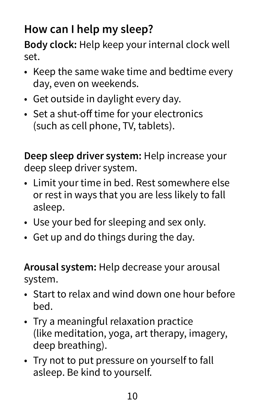### **How can I help my sleep?**

**Body clock:** Help keep your internal clock well set.

- Keep the same wake time and bedtime every day, even on weekends.
- Get outside in daylight every day.
- Set a shut-off time for your electronics (such as cell phone, TV, tablets).

**Deep sleep driver system:** Help increase your deep sleep driver system.

- Limit your time in bed. Rest somewhere else or rest in ways that you are less likely to fall asleep.
- Use your bed for sleeping and sex only.
- Get up and do things during the day.

**Arousal system:** Help decrease your arousal system.

- Start to relax and wind down one hour before bed.
- Try a meaningful relaxation practice (like meditation, yoga, art therapy, imagery, deep breathing).
- Try not to put pressure on yourself to fall asleep. Be kind to yourself.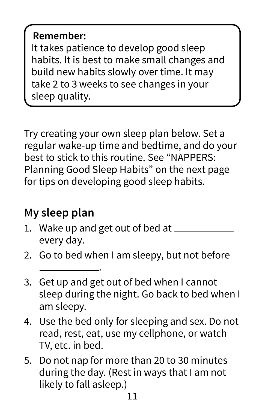#### **Remember:**

It takes patience to develop good sleep habits. It is best to make small changes and build new habits slowly over time. It may take 2 to 3 weeks to see changes in your sleep quality.

Try creating your own sleep plan below. Set a regular wake-up time and bedtime, and do your best to stick to this routine. See "NAPPERS: Planning Good Sleep Habits" on the next page for tips on developing good sleep habits.

### **My sleep plan**

- 1. Wake up and get out of bed at  $=$ every day.
- 2. Go to bed when I am sleepy, but not before

.

- 3. Get up and get out of bed when I cannot sleep during the night. Go back to bed when I am sleepy.
- 4. Use the bed only for sleeping and sex. Do not read, rest, eat, use my cellphone, or watch TV, etc. in bed.
- 5. Do not nap for more than 20 to 30 minutes during the day. (Rest in ways that I am not likely to fall asleep.)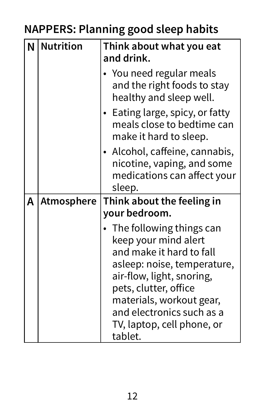## **NAPPERS: Planning good sleep habits**

| N | <b>Nutrition</b>  | Think about what you eat<br>and drink.                                                                                                                                                                                                                              |
|---|-------------------|---------------------------------------------------------------------------------------------------------------------------------------------------------------------------------------------------------------------------------------------------------------------|
|   |                   | • You need regular meals<br>and the right foods to stay<br>healthy and sleep well.                                                                                                                                                                                  |
|   |                   | • Eating large, spicy, or fatty<br>meals close to bedtime can<br>make it hard to sleep.                                                                                                                                                                             |
|   |                   | • Alcohol, caffeine, cannabis,<br>nicotine, vaping, and some<br>medications can affect your<br>sleep.                                                                                                                                                               |
| A | <b>Atmosphere</b> | Think about the feeling in                                                                                                                                                                                                                                          |
|   |                   | your bedroom.                                                                                                                                                                                                                                                       |
|   |                   | The following things can<br>keep your mind alert<br>and make it hard to fall<br>asleep: noise, temperature,<br>air-flow, light, snoring,<br>pets, clutter, office<br>materials, workout gear,<br>and electronics such as a<br>TV, laptop, cell phone, or<br>tablet. |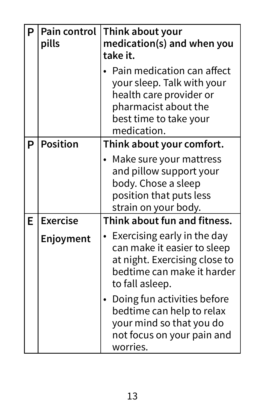| P | <b>Pain control</b><br>pills | Think about your<br>medication(s) and when you<br>take it.                                                                                           |
|---|------------------------------|------------------------------------------------------------------------------------------------------------------------------------------------------|
|   |                              | Pain medication can affect<br>your sleep. Talk with your<br>health care provider or<br>pharmacist about the<br>best time to take your<br>medication. |
| P | <b>Position</b>              | Think about your comfort.                                                                                                                            |
|   |                              | Make sure your mattress<br>and pillow support your<br>body. Chose a sleep<br>position that puts less<br>strain on your body.                         |
| E | <b>Exercise</b>              | Think about fun and fitness.                                                                                                                         |
|   | Enjoyment                    | Exercising early in the day<br>can make it easier to sleep<br>at night. Exercising close to<br>bedtime can make it harder<br>to fall asleep.         |
|   |                              | Doing fun activities before<br>bedtime can help to relax<br>your mind so that you do<br>not focus on your pain and<br>worries.                       |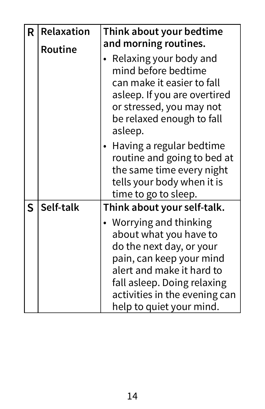| R. | <b>Relaxation</b> | Think about your bedtime<br>and morning routines.                                                                                                                                                                                  |
|----|-------------------|------------------------------------------------------------------------------------------------------------------------------------------------------------------------------------------------------------------------------------|
|    | <b>Routine</b>    | Relaxing your body and<br>mind before bedtime<br>can make it easier to fall<br>asleep. If you are overtired<br>or stressed, you may not<br>be relaxed enough to fall<br>asleep.                                                    |
|    |                   | Having a regular bedtime<br>routine and going to bed at<br>the same time every night<br>tells your body when it is<br>time to go to sleep.                                                                                         |
| S  | Self-talk         | Think about your self-talk.                                                                                                                                                                                                        |
|    |                   | • Worrying and thinking<br>about what you have to<br>do the next day, or your<br>pain, can keep your mind<br>alert and make it hard to<br>fall asleep. Doing relaxing<br>activities in the evening can<br>help to quiet your mind. |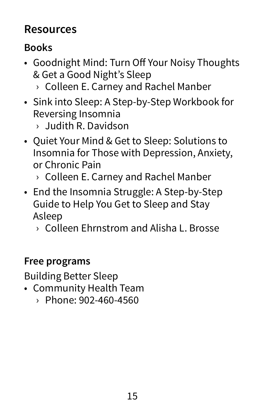#### **Resources**

#### **Books**

- Goodnight Mind: Turn Off Your Noisy Thoughts & Get a Good Night's Sleep
	- › Colleen E. Carney and Rachel Manber
- Sink into Sleep: A Step-by-Step Workbook for Reversing Insomnia
	- › Judith R. Davidson
- Quiet Your Mind & Get to Sleep: Solutions to Insomnia for Those with Depression, Anxiety, or Chronic Pain
	- › Colleen E. Carney and Rachel Manber
- End the Insomnia Struggle: A Step-by-Step Guide to Help You Get to Sleep and Stay Asleep
	- › Colleen Ehrnstrom and Alisha L. Brosse

#### **Free programs**

Building Better Sleep

- Community Health Team
	- › Phone: 902-460-4560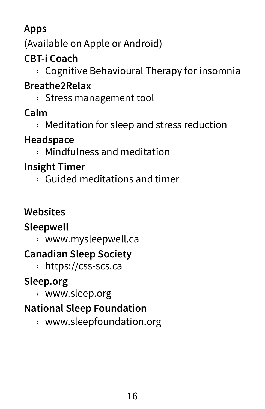#### **Apps**

(Available on Apple or Android)

### **CBT-i Coach**

› Cognitive Behavioural Therapy for insomnia

#### **Breathe2Relax**

› Stress management tool

#### **Calm**

› Meditation for sleep and stress reduction

#### **Headspace**

› Mindfulness and meditation

#### **Insight Timer**

› Guided meditations and timer

#### **Websites**

#### **Sleepwell**

› www.mysleepwell.ca

#### **Canadian Sleep Society**

› https://css-scs.ca

#### **Sleep.org**

› www.sleep.org

#### **National Sleep Foundation**

› www.sleepfoundation.org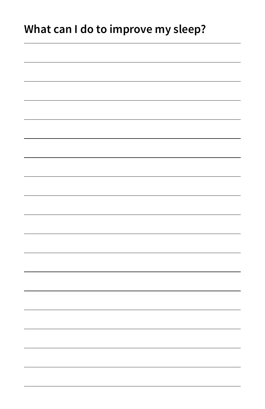### **What can I do to improve my sleep?**